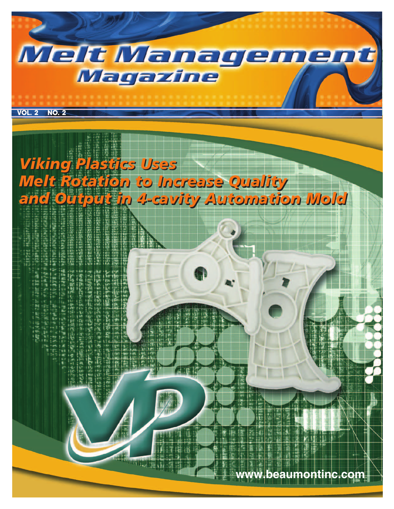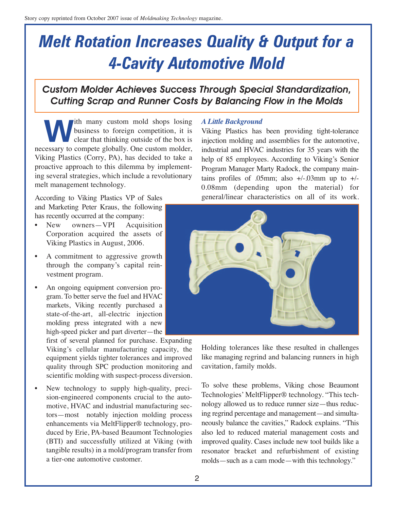## *Melt Rotation Increases Quality & Output for a 4-Cavity Automotive Mold*

## *Custom Molder Achieves Success Through Special Standardization, Cutting Scrap and Runner Costs by Balancing Flow in the Molds*

With many custom mold shops losing<br>business to foreign competition, it is<br>clear that thinking outside of the box is business to foreign competition, it is clear that thinking outside of the box is necessary to compete globally. One custom molder, Viking Plastics (Corry, PA), has decided to take a proactive approach to this dilemma by implementing several strategies, which include a revolutionary melt management technology.

According to Viking Plastics VP of Sales and Marketing Peter Kraus, the following has recently occurred at the company:

- New owners—VPI Acquisition Corporation acquired the assets of Viking Plastics in August, 2006.
- A commitment to aggressive growth through the company's capital reinvestment program.
- An ongoing equipment conversion program. To better serve the fuel and HVAC markets, Viking recently purchased a state-of-the-art, all-electric injection molding press integrated with a new high-speed picker and part diverter—the

first of several planned for purchase. Expanding Viking's cellular manufacturing capacity, the equipment yields tighter tolerances and improved quality through SPC production monitoring and scientific molding with suspect-process diversion.

New technology to supply high-quality, precision-engineered components crucial to the automotive, HVAC and industrial manufacturing sectors—most notably injection molding process enhancements via MeltFlipper® technology, produced by Erie, PA-based Beaumont Technologies (BTI) and successfully utilized at Viking (with tangible results) in a mold/program transfer from a tier-one automotive customer.

#### *A Little Background*

Viking Plastics has been providing tight-tolerance injection molding and assemblies for the automotive, industrial and HVAC industries for 35 years with the help of 85 employees. According to Viking's Senior Program Manager Marty Radock, the company maintains profiles of .05mm; also  $+/-.03$ mm up to  $+/-$ 0.08mm (depending upon the material) for general/linear characteristics on all of its work.



Holding tolerances like these resulted in challenges like managing regrind and balancing runners in high cavitation, family molds.

To solve these problems, Viking chose Beaumont Technologies' MeltFlipper® technology. "This technology allowed us to reduce runner size—thus reducing regrind percentage and management—and simultaneously balance the cavities," Radock explains. "This also led to reduced material management costs and improved quality. Cases include new tool builds like a resonator bracket and refurbishment of existing molds—such as a cam mode—with this technology."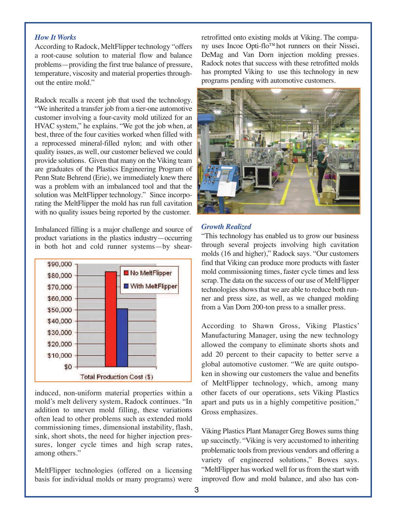#### *How It Works*

According to Radock, MeltFlipper technology "offers a root-cause solution to material flow and balance problems—providing the first true balance of pressure, temperature, viscosity and material properties throughout the entire mold."

Radock recalls a recent job that used the technology. "We inherited a transfer job from a tier-one automotive customer involving a four-cavity mold utilized for an HVAC system," he explains. "We got the job when, at best, three of the four cavities worked when filled with a reprocessed mineral-filled nylon; and with other quality issues, as well, our customer believed we could provide solutions. Given that many on the Viking team are graduates of the Plastics Engineering Program of Penn State Behrend (Erie), we immediately knew there was a problem with an imbalanced tool and that the solution was MeltFlipper technology." Since incorporating the MeltFlipper the mold has run full cavitation with no quality issues being reported by the customer.

Imbalanced filling is a major challenge and source of product variations in the plastics industry—occurring in both hot and cold runner systems—by shear-



induced, non-uniform material properties within a mold's melt delivery system, Radock continues. "In addition to uneven mold filling, these variations often lead to other problems such as extended mold commissioning times, dimensional instability, flash, sink, short shots, the need for higher injection pressures, longer cycle times and high scrap rates, among others."

MeltFlipper technologies (offered on a licensing basis for individual molds or many programs) were retrofitted onto existing molds at Viking. The company uses Incoe Opti-flo™hot runners on their Nissei, DeMag and Van Dorn injection molding presses. Radock notes that success with these retrofitted molds has prompted Viking to use this technology in new programs pending with automotive customers.



#### *Growth Realized*

"This technology has enabled us to grow our business through several projects involving high cavitation molds (16 and higher)," Radock says. "Our customers find that Viking can produce more products with faster mold commissioning times, faster cycle times and less scrap. The data on the success of our use of MeltFlipper technologies shows that we are able to reduce both runner and press size, as well, as we changed molding from a Van Dorn 200-ton press to a smaller press.

According to Shawn Gross, Viking Plastics' Manufacturing Manager, using the new technology allowed the company to eliminate shorts shots and add 20 percent to their capacity to better serve a global automotive customer. "We are quite outspoken in showing our customers the value and benefits of MeltFlipper technology, which, among many other facets of our operations, sets Viking Plastics apart and puts us in a highly competitive position," Gross emphasizes.

Viking Plastics Plant Manager Greg Bowes sums thing up succinctly. "Viking is very accustomed to inheriting problematic tools from previous vendors and offering a variety of engineered solutions," Bowes says. "MeltFlipper has worked well for us from the start with improved flow and mold balance, and also has con